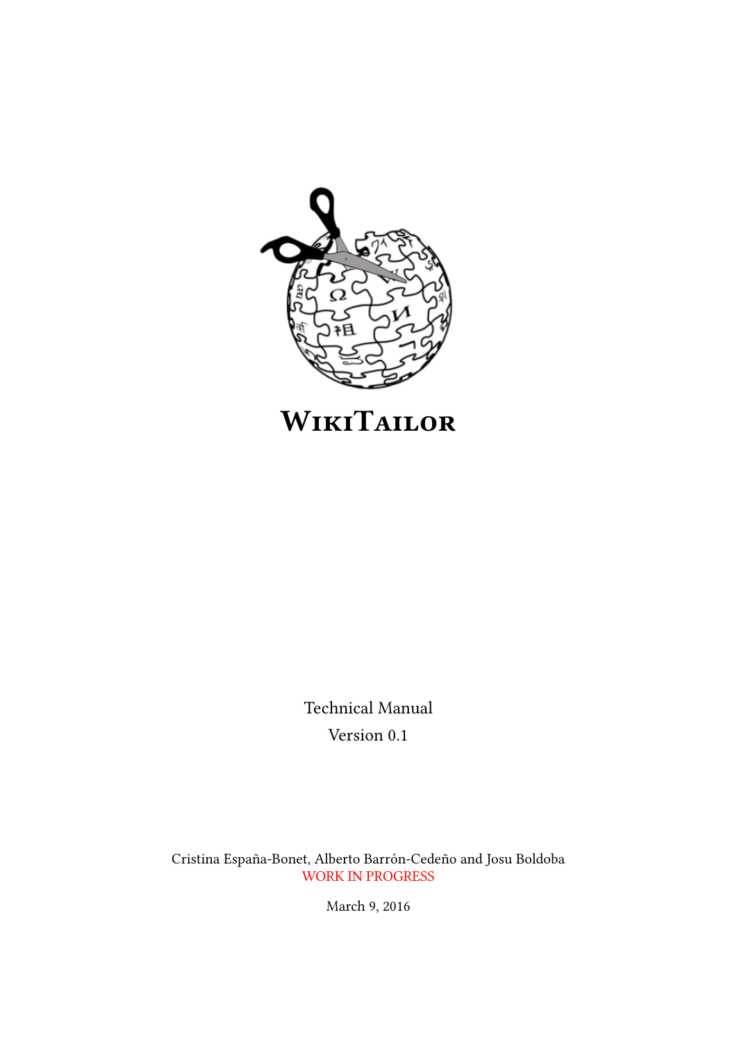

# **WIKITAILOR**

Technical Manual Version 0.1

Cristina España-Bonet, Alberto Barrón-Cedeño and Josu Boldoba WORK IN PROGRESS

March 9, 2016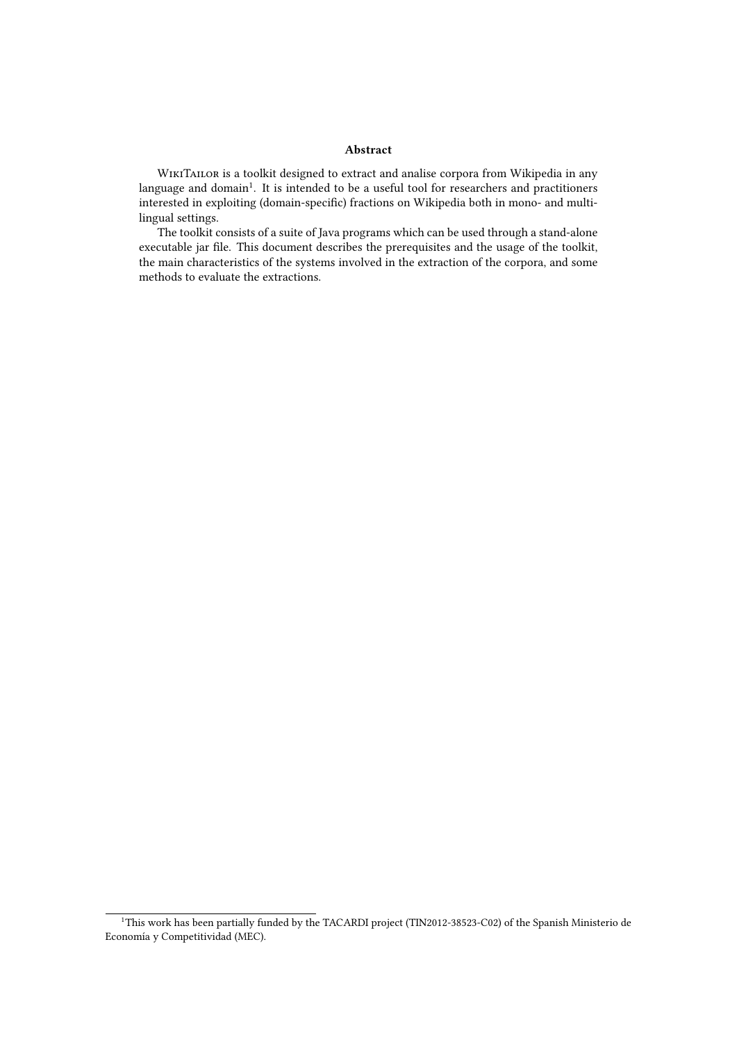#### Abstract

WIKITAILOR is a toolkit designed to extract and analise corpora from Wikipedia in any language and domain $^1.$  It is intended to be a useful tool for researchers and practitioners interested in exploiting (domain-specific) fractions on Wikipedia both in mono- and multilingual settings.

The toolkit consists of a suite of Java programs which can be used through a stand-alone executable jar file. This document describes the prerequisites and the usage of the toolkit, the main characteristics of the systems involved in the extraction of the corpora, and some methods to evaluate the extractions.

<sup>&</sup>lt;sup>1</sup>This work has been partially funded by the TACARDI project (TIN2012-38523-C02) of the Spanish Ministerio de Economía y Competitividad (MEC).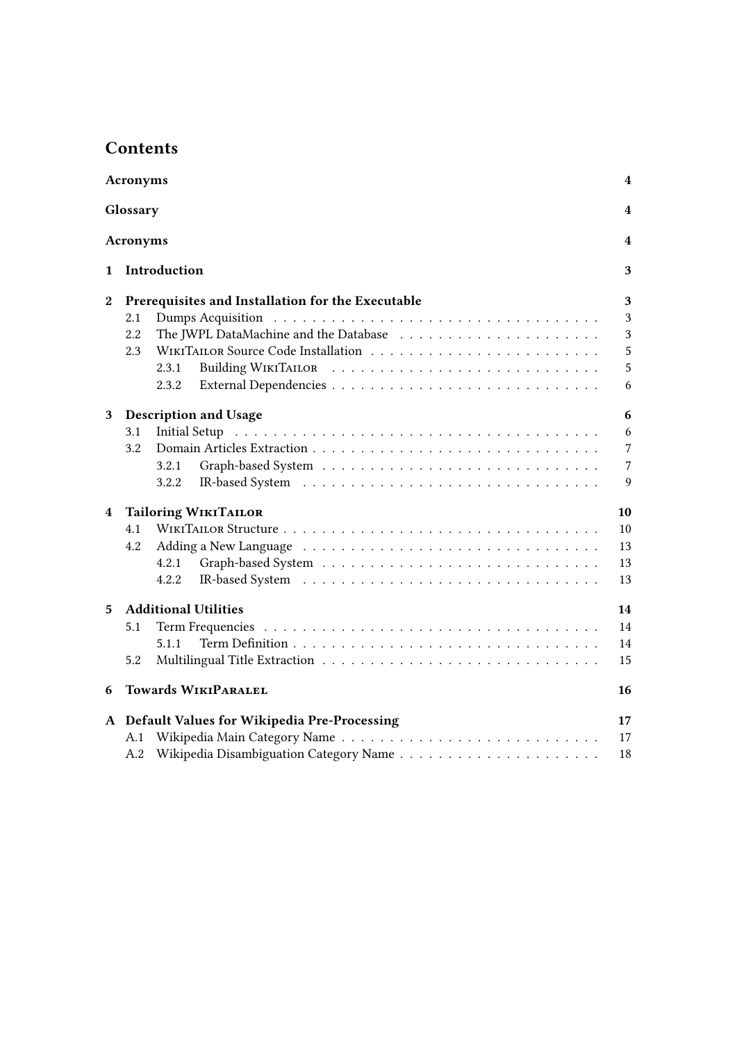# **Contents**

| Acronyms<br>4    |                                   |                                                   |                |  |  |  |  |  |
|------------------|-----------------------------------|---------------------------------------------------|----------------|--|--|--|--|--|
| Glossary         |                                   |                                                   |                |  |  |  |  |  |
|                  | Acronyms                          |                                                   | 4              |  |  |  |  |  |
| 1                |                                   | Introduction                                      | 3              |  |  |  |  |  |
| $\boldsymbol{2}$ |                                   | Prerequisites and Installation for the Executable | 3              |  |  |  |  |  |
|                  | 2.1                               |                                                   | 3              |  |  |  |  |  |
|                  | 2.2                               |                                                   | 3              |  |  |  |  |  |
|                  | 2.3                               |                                                   | 5              |  |  |  |  |  |
|                  |                                   | 2.3.1                                             | 5              |  |  |  |  |  |
|                  |                                   | 2.3.2                                             | 6              |  |  |  |  |  |
| 3                | <b>Description and Usage</b><br>6 |                                                   |                |  |  |  |  |  |
|                  | 3.1                               |                                                   | 6              |  |  |  |  |  |
|                  | 3.2                               |                                                   | $\overline{7}$ |  |  |  |  |  |
|                  |                                   | 3.2.1                                             | $\overline{7}$ |  |  |  |  |  |
|                  |                                   | 3.2.2                                             | 9              |  |  |  |  |  |
| 4                | <b>Tailoring WIKITAILOR</b>       |                                                   |                |  |  |  |  |  |
|                  | 4.1                               |                                                   | 10             |  |  |  |  |  |
|                  | 4.2                               |                                                   | 13             |  |  |  |  |  |
|                  |                                   | 4.2.1                                             | 13             |  |  |  |  |  |
|                  |                                   | 4.2.2                                             | 13             |  |  |  |  |  |
| 5                | <b>Additional Utilities</b><br>14 |                                                   |                |  |  |  |  |  |
|                  | 5.1                               |                                                   | 14             |  |  |  |  |  |
|                  |                                   | 5.1.1                                             | 14             |  |  |  |  |  |
|                  | 5.2                               |                                                   | 15             |  |  |  |  |  |
| 6                | <b>Towards WIKIPARALEL</b><br>16  |                                                   |                |  |  |  |  |  |
|                  |                                   | A Default Values for Wikipedia Pre-Processing     | 17             |  |  |  |  |  |
|                  | A.1                               |                                                   | 17             |  |  |  |  |  |
|                  | A.2                               |                                                   | 18             |  |  |  |  |  |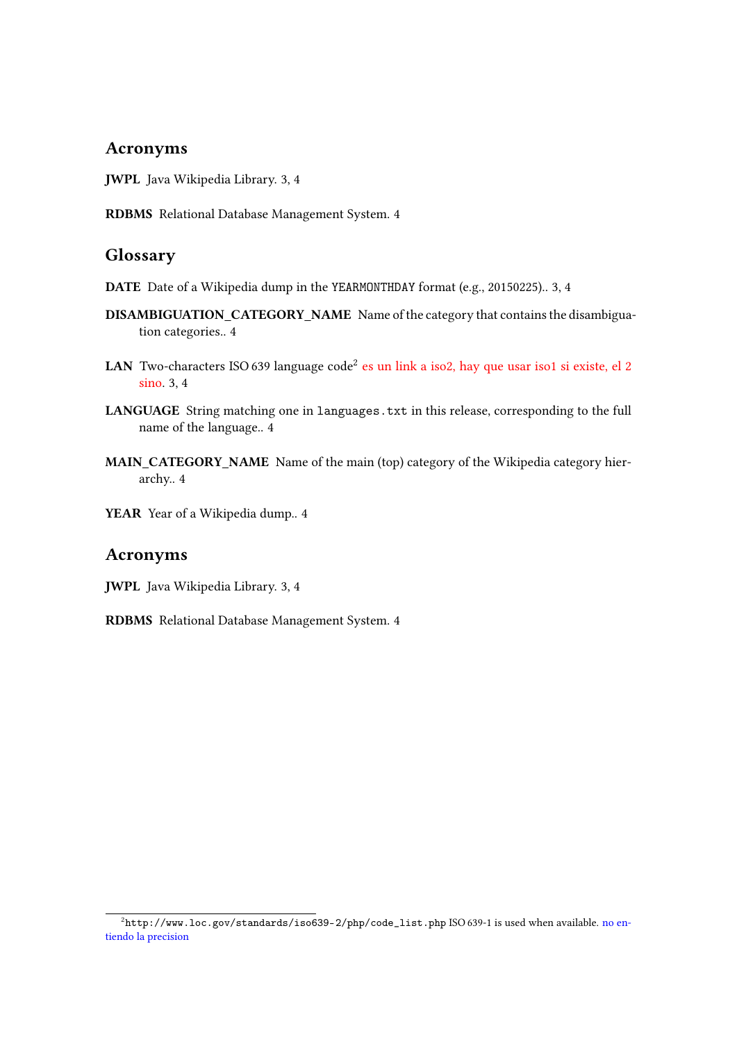# Acronyms

- JWPL Java Wikipedia Library. 3, 4
- RDBMS Relational Database Management System. 4

# Glossary

- DATE Date of a Wikipedia dump in the YEARMONTHDAY format (e.g., 20150225).. 3, 4
- DISAMBIGUATION\_CATEGORY\_NAME Name of the category that contains the disambiguation categories.. 4
- LAN Two-characters ISO 639 language code $^2$  es un link a iso2, hay que usar iso1 si existe, el 2 sino. 3, 4
- LANGUAGE String matching one in languages.txt in this release, corresponding to the full name of the language.. 4
- MAIN\_CATEGORY\_NAME Name of the main (top) category of the Wikipedia category hierarchy.. 4
- YEAR Year of a Wikipedia dump.. 4

# Acronyms

JWPL Java Wikipedia Library. 3, 4

RDBMS Relational Database Management System. 4

 $^2$ http://www.loc.gov/standards/iso639-2/php/code\_list.php ISO 639-1 is used when available. no entiendo la precision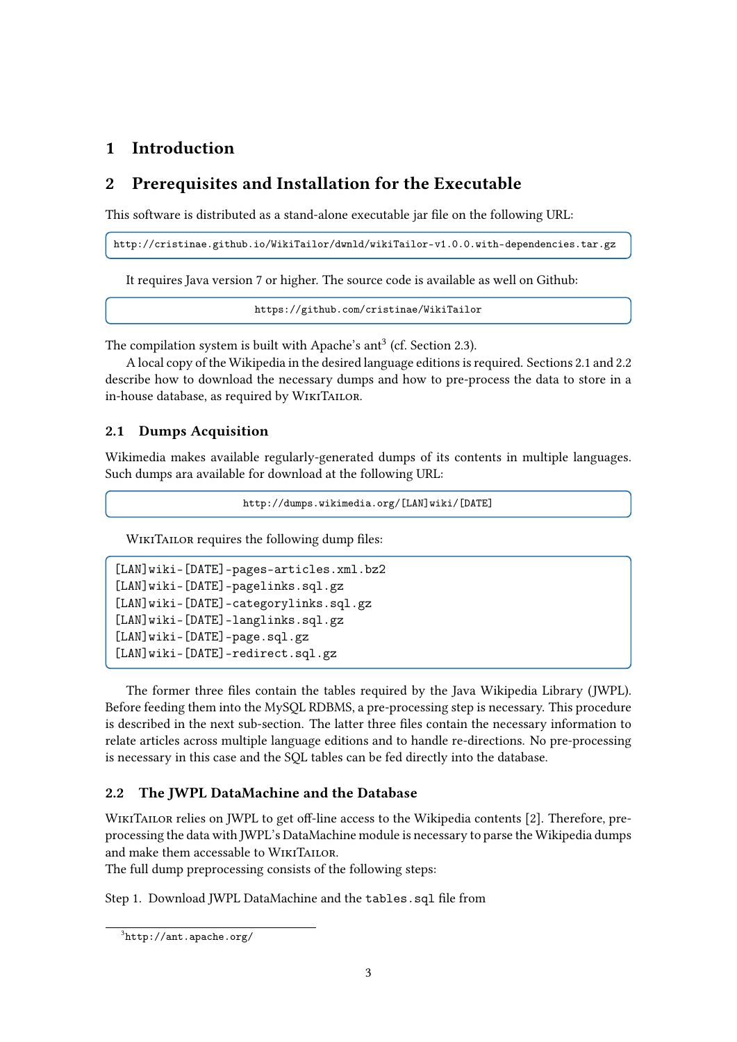# 1 Introduction

# 2 Prerequisites and Installation for the Executable

This software is distributed as a stand-alone executable jar file on the following URL:

http://cristinae.github.io/WikiTailor/dwnld/wikiTailor-v1.0.0.with-dependencies.tar.gz

It requires Java version 7 or higher. The source code is available as well on Github:

https://github.com/cristinae/WikiTailor

The compilation system is built with Apache's ant<sup>3</sup> (cf. Section 2.3).

A local copy of the Wikipedia in the desired language editions is required. Sections 2.1 and 2.2 describe how to download the necessary dumps and how to pre-process the data to store in a in-house database, as required by WikiTailor.

# 2.1 Dumps Acquisition

Wikimedia makes available regularly-generated dumps of its contents in multiple languages. Such dumps ara available for download at the following URL:

http://dumps.wikimedia.org/[LAN]wiki/[DATE]

WIKITAILOR requires the following dump files:

```
[LAN]wiki-[DATE]-pages-articles.xml.bz2
[LAN]wiki-[DATE]-pagelinks.sql.gz
[LAN]wiki-[DATE]-categorylinks.sql.gz
[LAN]wiki-[DATE]-langlinks.sql.gz
[LAN]wiki-[DATE]-page.sql.gz
[LAN]wiki-[DATE]-redirect.sql.gz
```
The former three files contain the tables required by the Java Wikipedia Library (JWPL). Before feeding them into the MySQL RDBMS, a pre-processing step is necessary. This procedure is described in the next sub-section. The latter three files contain the necessary information to relate articles across multiple language editions and to handle re-directions. No pre-processing is necessary in this case and the SQL tables can be fed directly into the database.

# 2.2 The JWPL DataMachine and the Database

WIKITAILOR relies on JWPL to get off-line access to the Wikipedia contents [2]. Therefore, preprocessing the data with JWPL's DataMachine module is necessary to parse the Wikipedia dumps and make them accessable to WikiTailor.

The full dump preprocessing consists of the following steps:

Step 1. Download JWPL DataMachine and the tables.sql file from

 ${}^{3}$ http://ant.apache.org/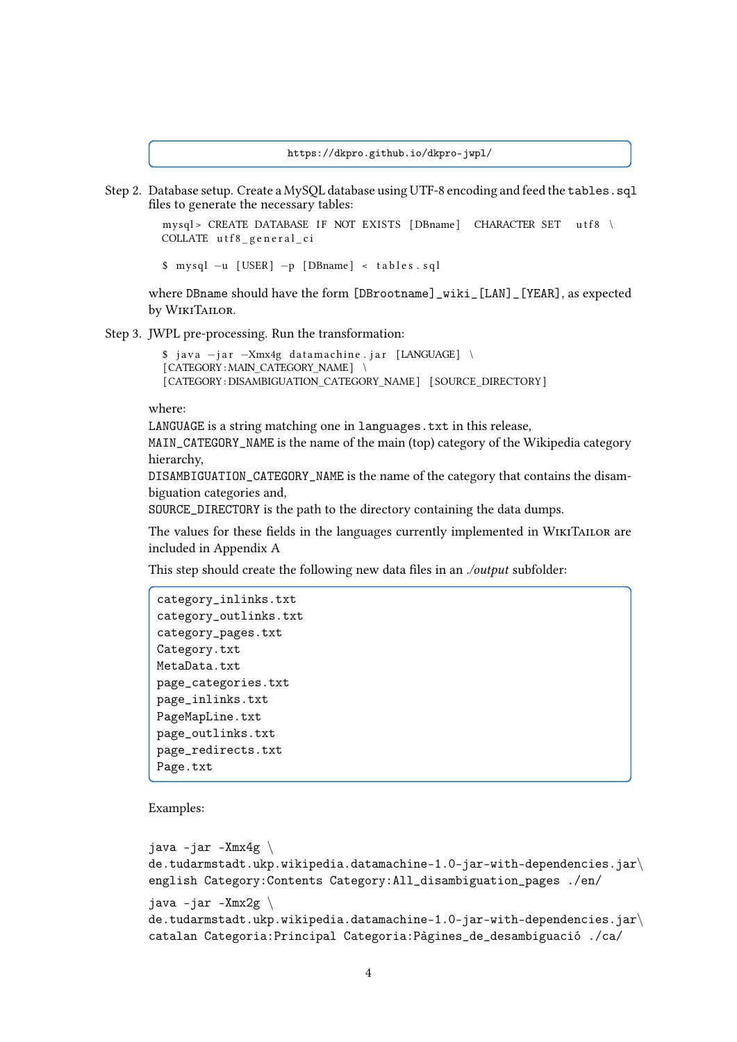https://dkpro.github.io/dkpro-jwpl/

Step 2. Database setup. Create a MySQL database using UTF-8 encoding and feed the tables.sql files to generate the necessary tables:

```
mysql > CREATE DATABASE IF NOT EXISTS [DBname] CHARACTER SET utf8 \
COLLATE utf8_general_ci
```
\$ mysql −u [ USER ] −p [ DBname ] < t a b l e s . s q l

where DBname should have the form [DBrootname]\_wiki\_[LAN]\_[YEAR], as expected by WikiTailor.

Step 3. JWPL pre-processing. Run the transformation:

```
$ java -jar -Xmx4g datamachine.jar [LANGUAGE] \
[CATEGORY : MAIN_CATEGORY_NAME] \
[CATEGORY : DISAMBIGUATION_CATEGORY_NAME] [SOURCE_DIRECTORY]
```
#### where:

LANGUAGE is a string matching one in languages.txt in this release,

MAIN\_CATEGORY\_NAME is the name of the main (top) category of the Wikipedia category hierarchy,

DISAMBIGUATION\_CATEGORY\_NAME is the name of the category that contains the disambiguation categories and,

SOURCE\_DIRECTORY is the path to the directory containing the data dumps.

The values for these fields in the languages currently implemented in WIKITAILOR are included in Appendix A

This step should create the following new data files in an ./output subfolder:

```
category_inlinks.txt
category_outlinks.txt
category_pages.txt
Category.txt
MetaData.txt
page_categories.txt
page_inlinks.txt
PageMapLine.txt
page_outlinks.txt
page_redirects.txt
Page.txt
```
Examples:

```
java -jar -Xmx4g \ \de.tudarmstadt.ukp.wikipedia.datamachine-1.0-jar-with-dependencies.jar\langleenglish Category:Contents Category:All_disambiguation_pages ./en/
java -jar -Xmx2g \ \de.tudarmstadt.ukp.wikipedia.datamachine-1.0-jar-with-dependencies.jar\langlecatalan Categoria:Principal Categoria:Pàgines_de_desambiguació ./ca/
```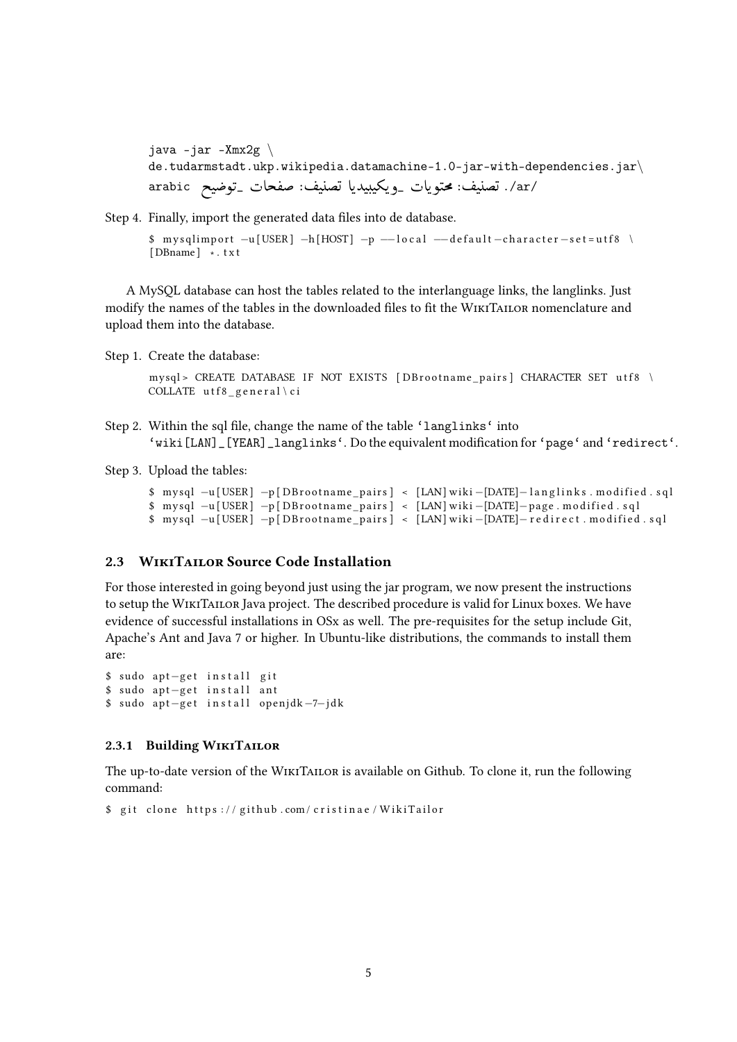java  $-jar$  -Xmx2g  $\setminus$ de.tudarmstadt.ukp.wikipedia.datamachine-1.0-jar-with-dependencies.jar $\langle$ de.tudarmstadt.ukp.wikipedia.datamachine-1.0-jar-with-de<br>/ar/. تصنيف: محتويات \_ويكيبيديا تصنيف: صفحات \_توضيح arabic .<br>. ֦  $\ddot{\cdot}$ ֚֡֝ ີ<br>. <u>ر</u>  $\ddot{\cdot}$ J  $\ddot{\cdot}$ ِّ .<br>س <u>بہ</u>  $\overline{\phantom{a}}$ ŗ .<br>. י<br>..

Step 4. Finally, import the generated data files into de database.

```
$ mysqlimport -u [USER] -h [HOST] -p -local -d e fault -character-set = utf8[ DBname ] ∗ . t x t
```
A MySQL database can host the tables related to the interlanguage links, the langlinks. Just modify the names of the tables in the downloaded files to fit the WIKITAILOR nomenclature and upload them into the database.

Step 1. Create the database:

mysql> CREATE DATABASE IF NOT EXISTS [DBrootname\_pairs] CHARACTER SET utf8 \ COLLATE utf8  $general \ c i$ 

- Step 2. Within the sql file, change the name of the table 'langlinks' into 'wiki[LAN]\_[YEAR]\_langlinks'. Do the equivalent modification for 'page' and 'redirect'.
- Step 3. Upload the tables:

```
$ mysql -u[USER] -p[DBrootname_pairs] < [LAN] wiki -[DATE]-langlinks. modified.sql
$ mysql −u[USER] −p[DBrootname_pairs] < [LAN] wiki −[DATE]−page . modified . sql
$ mysql −u [ USER ] −p [ DB r o o t name_ pai r s ] < [LAN ] wiki −[DATE]− r e d i r e c t . m o di fi e d . s q l
```
## 2.3 WikiTailor Source Code Installation

For those interested in going beyond just using the jar program, we now present the instructions to setup the WikiTailor Java project. The described procedure is valid for Linux boxes. We have evidence of successful installations in OSx as well. The pre-requisites for the setup include Git, Apache's Ant and Java 7 or higher. In Ubuntu-like distributions, the commands to install them are:

```
$ sudo apt-get install git
$ sudo apt-get install ant
$ sudo apt-get install openjdk-7-jdk
```
#### 2.3.1 Building WIKITAILOR

The up-to-date version of the WikiTailor is available on Github. To clone it, run the following command:

```
$ git clone https://github.com/cristinae/WikiTailor
```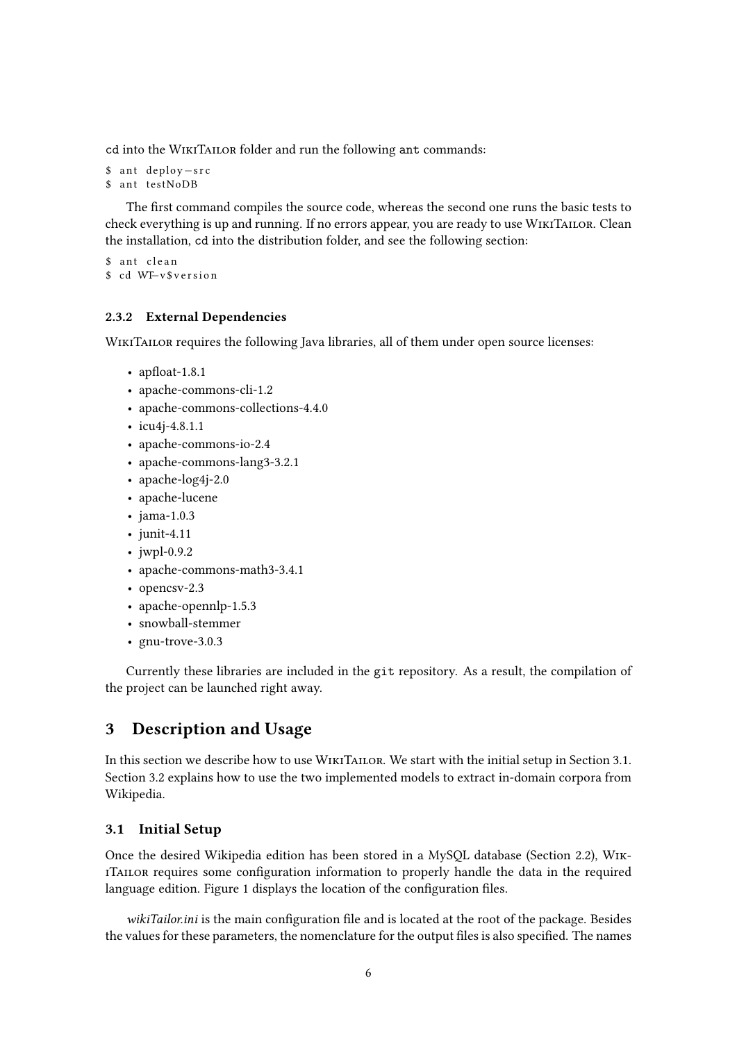cd into the WikiTailor folder and run the following ant commands:

```
$ ant deploy-src
$ ant testNoDB
```
The first command compiles the source code, whereas the second one runs the basic tests to check everything is up and running. If no errors appear, you are ready to use WikiTailor. Clean the installation, cd into the distribution folder, and see the following section:

```
$ ant clean
$ cd WT–v$version
```
## 2.3.2 External Dependencies

WIKITAILOR requires the following Java libraries, all of them under open source licenses:

- apfloat- $1.8.1$
- apache-commons-cli-1.2
- apache-commons-collections-4.4.0
- icu4j-4.8.1.1
- apache-commons-io-2.4
- apache-commons-lang3-3.2.1
- apache-log4j-2.0
- apache-lucene
- jama-1.0.3
- junit-4.11
- iwpl-0.9.2
- apache-commons-math3-3.4.1
- opencsv-2.3
- apache-opennlp-1.5.3
- snowball-stemmer
- gnu-trove-3.0.3

Currently these libraries are included in the git repository. As a result, the compilation of the project can be launched right away.

# 3 Description and Usage

In this section we describe how to use WIKITAILOR. We start with the initial setup in Section 3.1. Section 3.2 explains how to use the two implemented models to extract in-domain corpora from Wikipedia.

## 3.1 Initial Setup

Once the desired Wikipedia edition has been stored in a MySQL database (Section 2.2), Wik-ITAILOR requires some configuration information to properly handle the data in the required language edition. Figure 1 displays the location of the configuration files.

wikiTailor.ini is the main configuration file and is located at the root of the package. Besides the values for these parameters, the nomenclature for the output files is also specified. The names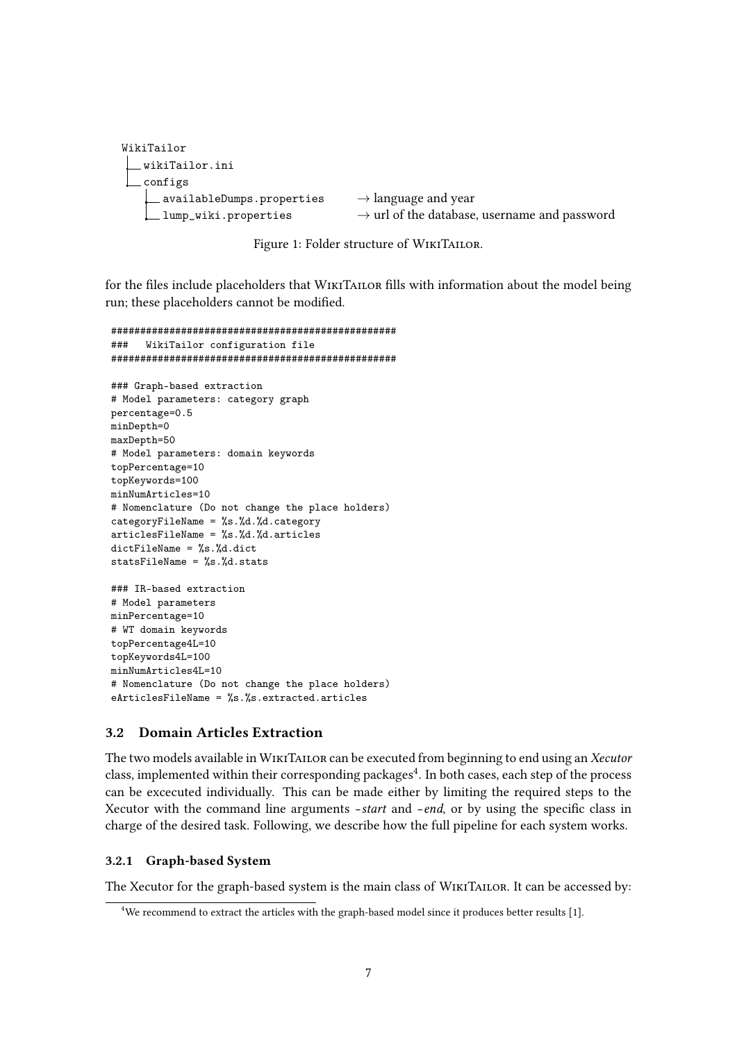```
WikiTailor
  wikiTailor.ini
   configs
      availableDumps.properties \rightarrow language and year
      lump_wiki.properties \rightarrow url of the database, username and password
```
Figure 1: Folder structure of WIKITAILOR.

for the files include placeholders that WIKITAILOR fills with information about the model being run; these placeholders cannot be modified.

```
#################################################
### WikiTailor configuration file
#################################################
### Graph-based extraction
# Model parameters: category graph
percentage=0.5
minDepth=0
maxDepth=50
# Model parameters: domain keywords
topPercentage=10
topKeywords=100
minNumArticles=10
# Nomenclature (Do not change the place holders)
categoryFileName = \%s.\%d.\%d.categoryarticlesFileName = %s. %d. %d. articlesdictFileName = %s.%d.dict
statsFileName = %s.%d.stats
### IR-based extraction
# Model parameters
minPercentage=10
# WT domain keywords
topPercentage4L=10
topKeywords4L=100
minNumArticles4L=10
# Nomenclature (Do not change the place holders)
eArticlesFileName = %s.%s.extracted.articles
```
## 3.2 Domain Articles Extraction

The two models available in WikiTailor can be executed from beginning to end using an Xecutor class, implemented within their corresponding packages $^4$ . In both cases, each step of the process can be excecuted individually. This can be made either by limiting the required steps to the Xecutor with the command line arguments  $-$ *start* and  $-$ *end*, or by using the specific class in charge of the desired task. Following, we describe how the full pipeline for each system works.

#### 3.2.1 Graph-based System

The Xecutor for the graph-based system is the main class of WikiTailor. It can be accessed by:

<sup>&</sup>lt;sup>4</sup>We recommend to extract the articles with the graph-based model since it produces better results [1].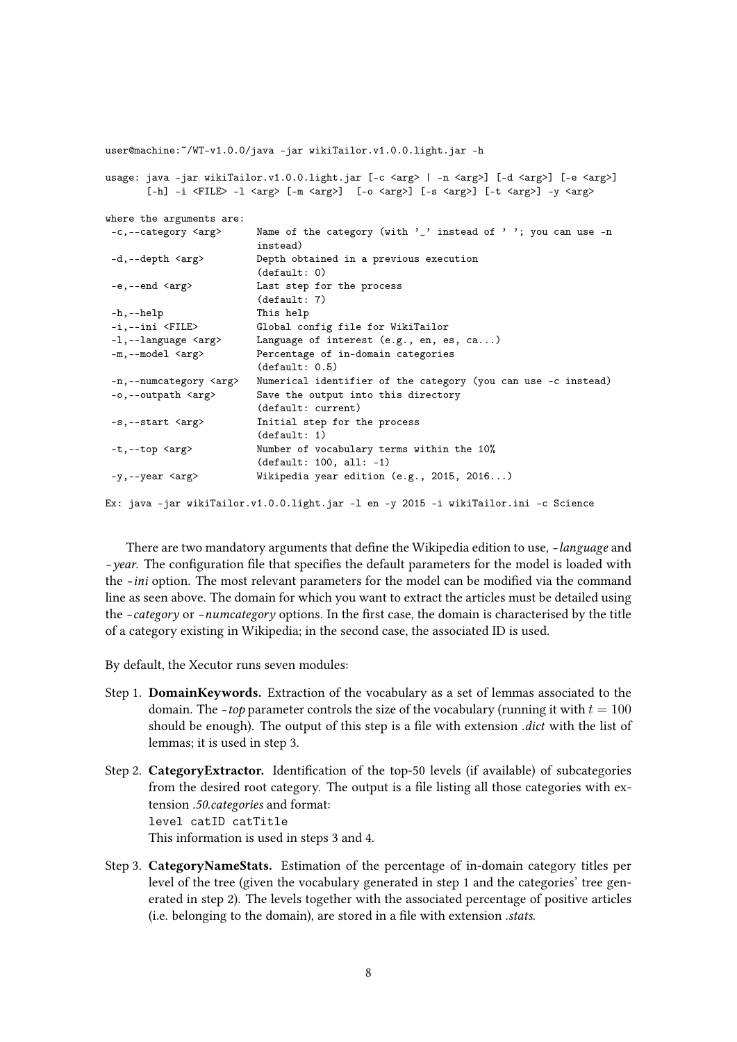|                                     | user@machine:~/WT-v1.0.0/java -jar wikiTailor.v1.0.0.light.jar -h                                                                                                                                                                                                                                                            |  |  |  |
|-------------------------------------|------------------------------------------------------------------------------------------------------------------------------------------------------------------------------------------------------------------------------------------------------------------------------------------------------------------------------|--|--|--|
|                                     | usage: java -jar wikiTailor.v1.0.0.light.jar [-c <arg>   -n <arg>] [-d <arg>] [-e <arg>]<br/><math>[-h]</math> -i <file> -1 <arg> <math>[-m \leq r]</math> <math>[-s \leq r]</math> <math>[-s \leq r]</math> <math>[-s \leq r]</math> <math>[-t \leq r]</math> <math>[-t \leq r]</math></arg></file></arg></arg></arg></arg> |  |  |  |
| where the arguments are:            |                                                                                                                                                                                                                                                                                                                              |  |  |  |
| -c,--category <arg></arg>           | Name of the category (with '_' instead of ' '; you can use $-n$<br>instead)                                                                                                                                                                                                                                                  |  |  |  |
| $-d$ ,--depth $\langle arg \rangle$ | Depth obtained in a previous execution<br>(detault: 0)                                                                                                                                                                                                                                                                       |  |  |  |
| $-e, --end 2$                       | Last step for the process<br>(detault: 7)                                                                                                                                                                                                                                                                                    |  |  |  |
| $-h,--help$                         | This help                                                                                                                                                                                                                                                                                                                    |  |  |  |
| -i,--ini <file></file>              | Global config file for WikiTailor                                                                                                                                                                                                                                                                                            |  |  |  |
| $-1$ , $-$ language $\langle$ arg>  | Language of interest $(e.g., en, es, ca)$                                                                                                                                                                                                                                                                                    |  |  |  |
| $-m$ ,--model $\langle arg \rangle$ | Percentage of in-domain categories<br>(detault: 0.5)                                                                                                                                                                                                                                                                         |  |  |  |
| -n,--numcategory <arg></arg>        | Numerical identifier of the category (you can use -c instead)                                                                                                                                                                                                                                                                |  |  |  |
| -o,--outpath <arg></arg>            | Save the output into this directory<br>(default: current)                                                                                                                                                                                                                                                                    |  |  |  |
| $-s$ ,--start $\langle arg \rangle$ | Initial step for the process<br>(detault: 1)                                                                                                                                                                                                                                                                                 |  |  |  |
| $-t$ ,--top $\langle arg \rangle$   | Number of vocabulary terms within the 10%<br>$(detault: 100, all: -1)$                                                                                                                                                                                                                                                       |  |  |  |
| -y,--year <arg></arg>               | Wikipedia year edition $(e.g., 2015, 2016)$                                                                                                                                                                                                                                                                                  |  |  |  |
|                                     | Ex: java -jar wikiTailor.v1.0.0.light.jar -1 en -y 2015 -i wikiTailor.ini -c Science                                                                                                                                                                                                                                         |  |  |  |

There are two mandatory arguments that define the Wikipedia edition to use, -language and -year. The configuration file that specifies the default parameters for the model is loaded with the -ini option. The most relevant parameters for the model can be modified via the command line as seen above. The domain for which you want to extract the articles must be detailed using the  $-category$  or  $-numcategory$  options. In the first case, the domain is characterised by the title of a category existing in Wikipedia; in the second case, the associated ID is used.

By default, the Xecutor runs seven modules:

- Step 1. DomainKeywords. Extraction of the vocabulary as a set of lemmas associated to the domain. The *-top* parameter controls the size of the vocabulary (running it with  $t = 100$ ) should be enough). The output of this step is a file with extension *dict* with the list of lemmas; it is used in step 3.
- Step 2. CategoryExtractor. Identification of the top-50 levels (if available) of subcategories from the desired root category. The output is a file listing all those categories with extension .50.categories and format: level catID catTitle This information is used in steps 3 and 4.
- Step 3. CategoryNameStats. Estimation of the percentage of in-domain category titles per level of the tree (given the vocabulary generated in step 1 and the categories' tree generated in step 2). The levels together with the associated percentage of positive articles  $(i.e. belonging to the domain), are stored in a file with extension *.stats.*$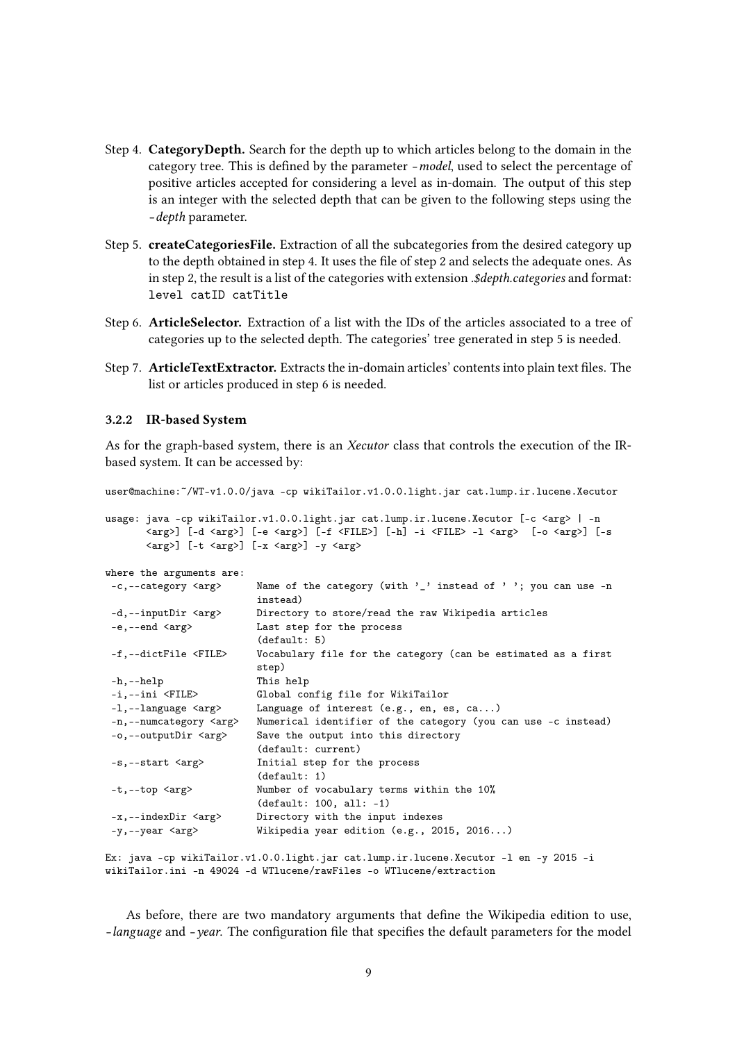- Step 4. CategoryDepth. Search for the depth up to which articles belong to the domain in the category tree. This is defined by the parameter -model, used to select the percentage of positive articles accepted for considering a level as in-domain. The output of this step is an integer with the selected depth that can be given to the following steps using the –depth parameter.
- Step 5. createCategoriesFile. Extraction of all the subcategories from the desired category up to the depth obtained in step 4. It uses the file of step 2 and selects the adequate ones. As in step 2, the result is a list of the categories with extension . \$depth.categories and format: level catID catTitle
- Step 6. ArticleSelector. Extraction of a list with the IDs of the articles associated to a tree of categories up to the selected depth. The categories' tree generated in step 5 is needed.
- Step 7. **ArticleTextExtractor.** Extracts the in-domain articles' contents into plain text files. The list or articles produced in step 6 is needed.

#### 3.2.2 IR-based System

As for the graph-based system, there is an Xecutor class that controls the execution of the IRbased system. It can be accessed by:

user@machine:~/WT-v1.0.0/java -cp wikiTailor.v1.0.0.light.jar cat.lump.ir.lucene.Xecutor usage: java -cp wikiTailor.v1.0.0.light.jar cat.lump.ir.lucene.Xecutor [-c <arg> | -n  $\langle \text{arg} \rangle$ ] [-d  $\langle \text{arg} \rangle$ ] [-e  $\langle \text{arg} \rangle$ ] [-f  $\langle \text{FILE} \rangle$ ] [-h] -i  $\langle \text{FILE} \rangle$  -l  $\langle \text{arg} \rangle$  [-o  $\langle \text{arg} \rangle$ ] [-s  $\langle \text{arg} \rangle$ ] [-t  $\langle \text{arg} \rangle$ ] [-x  $\langle \text{arg} \rangle$ ] -y  $\langle \text{arg} \rangle$ where the arguments are: -c,--category <arg> Name of the category (with '\_' instead of ' '; you can use -n instead) -d,--inputDir <arg> Directory to store/read the raw Wikipedia articles -e,--end <arg>
Last step for the process (default: 5) -f,--dictFile <FILE> Vocabulary file for the category (can be estimated as a first step) -h,--help This help -i,--ini <FILE> Global config file for WikiTailor -1,--language <arg>
Language of interest (e.g., en, es, ca...) -n,--numcategory <arg> Numerical identifier of the category (you can use -c instead) -o,--outputDir <arg> Save the output into this directory (default: current) -s,--start <arg> Initial step for the process (default: 1) -t,--top <arg> Number of vocabulary terms within the 10% (default: 100, all: -1) -x,--indexDir <arg> Directory with the input indexes -y,--year <arg> Wikipedia year edition (e.g., 2015, 2016...)

Ex: java -cp wikiTailor.v1.0.0.light.jar cat.lump.ir.lucene.Xecutor -l en -y 2015 -i wikiTailor.ini -n 49024 -d WTlucene/rawFiles -o WTlucene/extraction

As before, there are two mandatory arguments that define the Wikipedia edition to use, -language and -year. The configuration file that specifies the default parameters for the model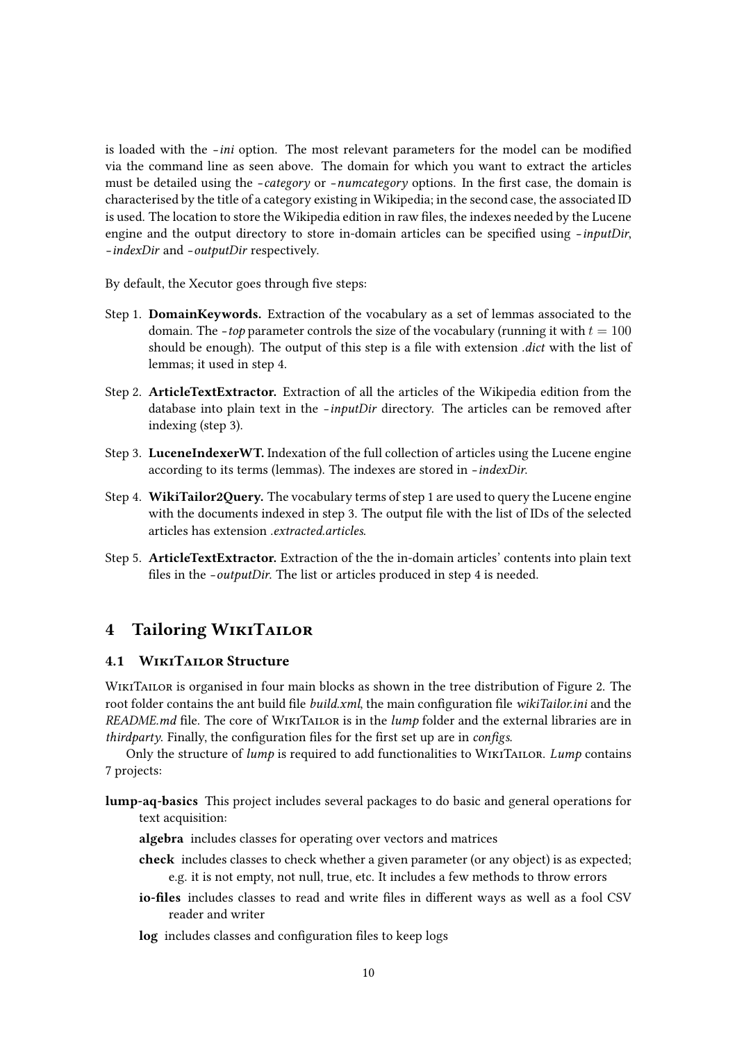is loaded with the -ini option. The most relevant parameters for the model can be modified via the command line as seen above. The domain for which you want to extract the articles must be detailed using the -category or -numcategory options. In the first case, the domain is characterised by the title of a category existing in Wikipedia; in the second case, the associated ID is used. The location to store the Wikipedia edition in raw files, the indexes needed by the Lucene engine and the output directory to store in-domain articles can be specified using  $-inputDir$ , –indexDir and –outputDir respectively.

By default, the Xecutor goes through five steps:

- Step 1. DomainKeywords. Extraction of the vocabulary as a set of lemmas associated to the domain. The *-top* parameter controls the size of the vocabulary (running it with  $t = 100$ should be enough). The output of this step is a file with extension *dict* with the list of lemmas; it used in step 4.
- Step 2. ArticleTextExtractor. Extraction of all the articles of the Wikipedia edition from the database into plain text in the –inputDir directory. The articles can be removed after indexing (step 3).
- Step 3. LuceneIndexerWT. Indexation of the full collection of articles using the Lucene engine according to its terms (lemmas). The indexes are stored in -indexDir.
- Step 4. WikiTailor2Query. The vocabulary terms of step 1 are used to query the Lucene engine with the documents indexed in step 3. The output file with the list of IDs of the selected articles has extension .extracted.articles.
- Step 5. ArticleTextExtractor. Extraction of the the in-domain articles' contents into plain text files in the -outputDir. The list or articles produced in step 4 is needed.

# 4 Tailoring WikiTailor

## 4.1 WikiTailor Structure

WIKITAILOR is organised in four main blocks as shown in the tree distribution of Figure 2. The root folder contains the ant build file *build.xml*, the main configuration file *wikiTailor.ini* and the README.md file. The core of WIKITAILOR is in the  $lump$  folder and the external libraries are in thirdparty. Finally, the configuration files for the first set up are in configs.

Only the structure of *lump* is required to add functionalities to WIKITAILOR. Lump contains 7 projects:

- lump-aq-basics This project includes several packages to do basic and general operations for text acquisition:
	- algebra includes classes for operating over vectors and matrices
	- check includes classes to check whether a given parameter (or any object) is as expected; e.g. it is not empty, not null, true, etc. It includes a few methods to throw errors
	- io-files includes classes to read and write files in different ways as well as a fool CSV reader and writer
	- log includes classes and configuration files to keep logs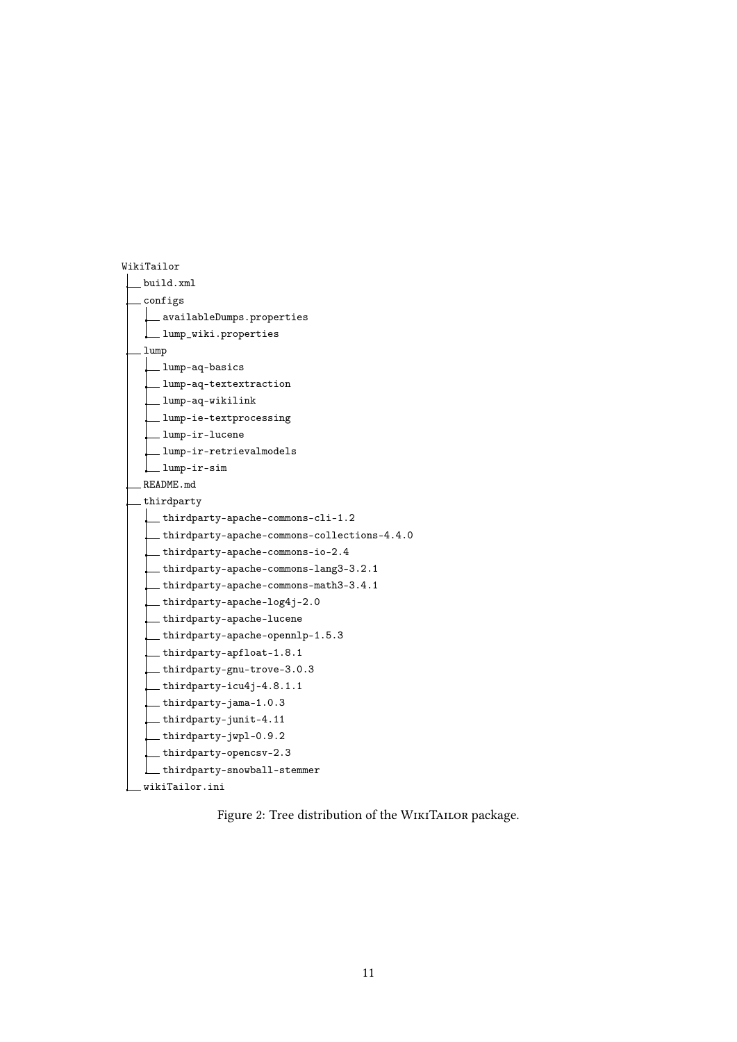

Figure 2: Tree distribution of the WIKITAILOR package.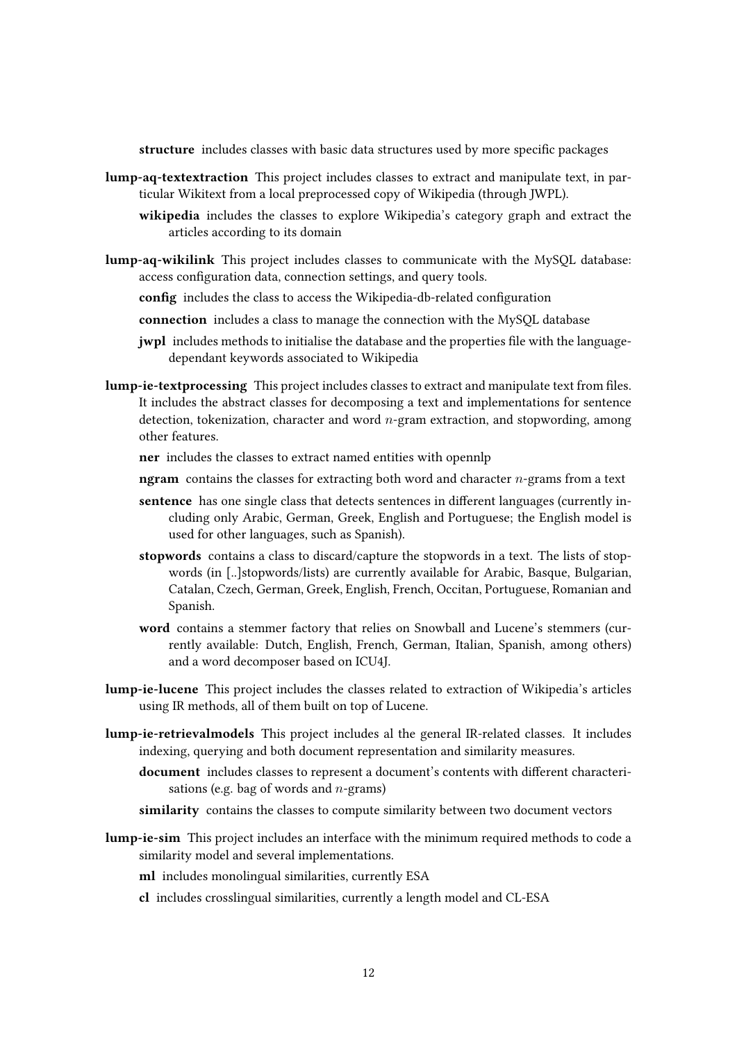structure includes classes with basic data structures used by more specific packages

- lump-aq-textextraction This project includes classes to extract and manipulate text, in particular Wikitext from a local preprocessed copy of Wikipedia (through JWPL).
	- wikipedia includes the classes to explore Wikipedia's category graph and extract the articles according to its domain
- lump-aq-wikilink This project includes classes to communicate with the MySQL database: access configuration data, connection settings, and query tools.
	- config includes the class to access the Wikipedia-db-related configuration
	- connection includes a class to manage the connection with the MySQL database
	- jwpl includes methods to initialise the database and the properties file with the languagedependant keywords associated to Wikipedia
- lump-ie-textprocessing This project includes classes to extract and manipulate text from files. It includes the abstract classes for decomposing a text and implementations for sentence detection, tokenization, character and word  $n$ -gram extraction, and stopwording, among other features.
	- ner includes the classes to extract named entities with opennlp
	- ngram contains the classes for extracting both word and character  $n$ -grams from a text
	- sentence has one single class that detects sentences in different languages (currently including only Arabic, German, Greek, English and Portuguese; the English model is used for other languages, such as Spanish).
	- stopwords contains a class to discard/capture the stopwords in a text. The lists of stopwords (in [..]stopwords/lists) are currently available for Arabic, Basque, Bulgarian, Catalan, Czech, German, Greek, English, French, Occitan, Portuguese, Romanian and Spanish.
	- word contains a stemmer factory that relies on Snowball and Lucene's stemmers (currently available: Dutch, English, French, German, Italian, Spanish, among others) and a word decomposer based on ICU4J.
- lump-ie-lucene This project includes the classes related to extraction of Wikipedia's articles using IR methods, all of them built on top of Lucene.
- lump-ie-retrievalmodels This project includes al the general IR-related classes. It includes indexing, querying and both document representation and similarity measures.
	- document includes classes to represent a document's contents with different characterisations (e.g. bag of words and  $n$ -grams)
	- similarity contains the classes to compute similarity between two document vectors
- lump-ie-sim This project includes an interface with the minimum required methods to code a similarity model and several implementations.
	- ml includes monolingual similarities, currently ESA
	- cl includes crosslingual similarities, currently a length model and CL-ESA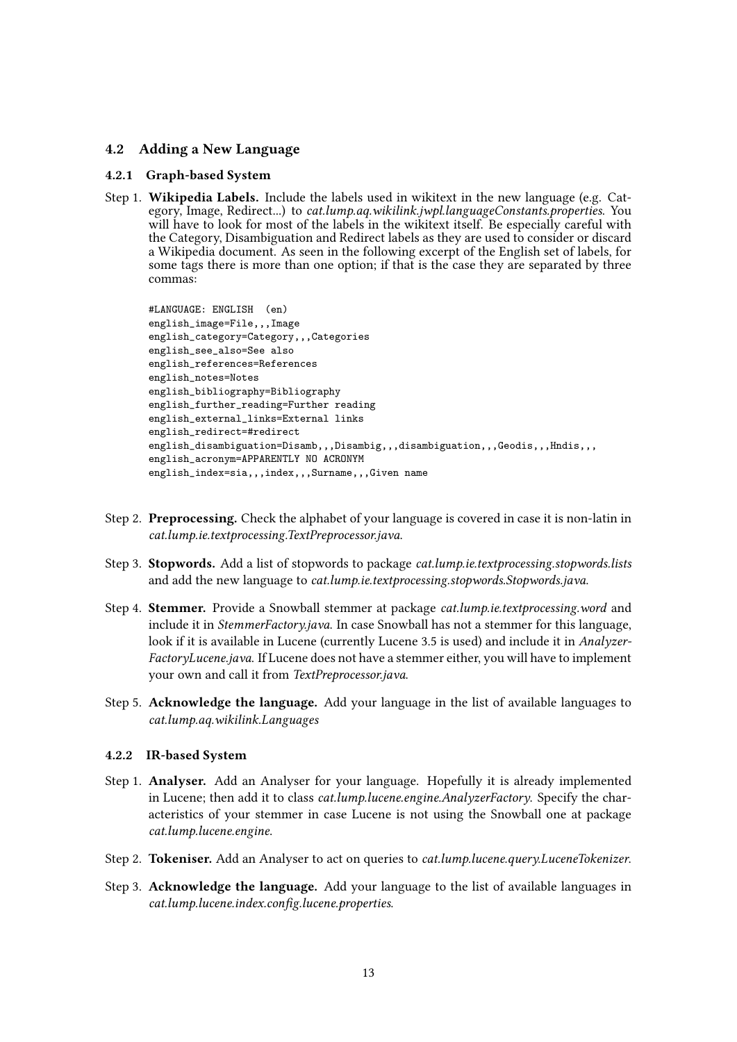#### 4.2 Adding a New Language

#### 4.2.1 Graph-based System

Step 1. Wikipedia Labels. Include the labels used in wikitext in the new language (e.g. Category, Image, Redirect...) to *cat.lump.aq.wikilink.jwpl.languageConstants.properties.* You will have to look for most of the labels in the wikitext itself. Be especially careful with the Category, Disambiguation and Redirect labels as they are used to consider or discard a Wikipedia document. As seen in the following excerpt of the English set of labels, for some tags there is more than one option; if that is the case they are separated by three commas:

```
#LANGUAGE: ENGLISH (en)
english_image=File,,,Image
english_category=Category,,,Categories
english_see_also=See also
english_references=References
english_notes=Notes
english_bibliography=Bibliography
english_further_reading=Further reading
english_external_links=External links
english_redirect=#redirect
english_disambiguation=Disamb,,,Disambig,,,disambiguation,,,Geodis,,,Hndis,,,
english acronym=APPARENTLY NO ACRONYM
english_index=sia,,,index,,,Surname,,,Given name
```
- Step 2. Preprocessing. Check the alphabet of your language is covered in case it is non-latin in cat.lump.ie.textprocessing.TextPreprocessor.java.
- Step 3. Stopwords. Add a list of stopwords to package *cat.lump.ie.textprocessing.stopwords.lists* and add the new language to cat.lump.ie.textprocessing.stopwords.Stopwords.java.
- Step 4. Stemmer. Provide a Snowball stemmer at package *cat.lump.ie.textprocessing.word* and include it in StemmerFactory.java. In case Snowball has not a stemmer for this language, look if it is available in Lucene (currently Lucene 3.5 is used) and include it in Analyzer-FactoryLucene.java. If Lucene does not have a stemmer either, you will have to implement your own and call it from TextPreprocessor.java.
- Step 5. Acknowledge the language. Add your language in the list of available languages to cat.lump.aq.wikilink.Languages

#### 4.2.2 IR-based System

- Step 1. Analyser. Add an Analyser for your language. Hopefully it is already implemented in Lucene; then add it to class *cat.lump.lucene.engine.AnalyzerFactory*. Specify the characteristics of your stemmer in case Lucene is not using the Snowball one at package cat.lump.lucene.engine.
- Step 2. Tokeniser. Add an Analyser to act on queries to cat.lump.lucene.query.LuceneTokenizer.
- Step 3. Acknowledge the language. Add your language to the list of available languages in cat.lump.lucene.index.config.lucene.properties.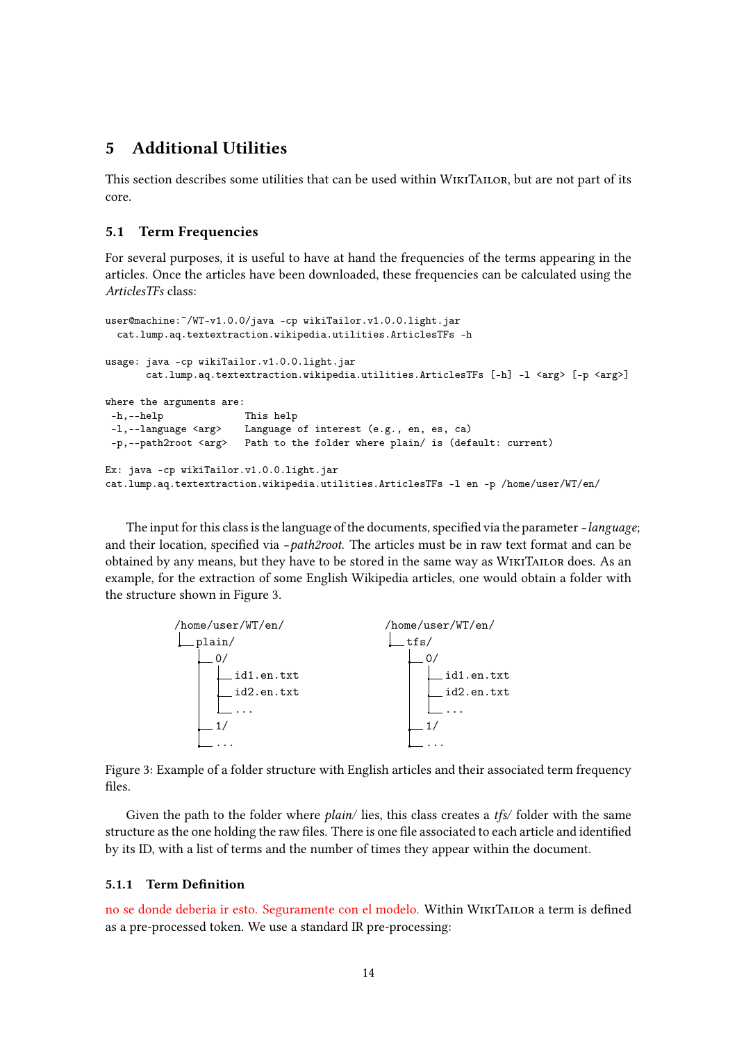# 5 Additional Utilities

This section describes some utilities that can be used within WikiTailor, but are not part of its core.

#### 5.1 Term Frequencies

For several purposes, it is useful to have at hand the frequencies of the terms appearing in the articles. Once the articles have been downloaded, these frequencies can be calculated using the ArticlesTFs class:

```
user@machine:~/WT-v1.0.0/java -cp wikiTailor.v1.0.0.light.jar
 cat.lump.aq.textextraction.wikipedia.utilities.ArticlesTFs -h
usage: java -cp wikiTailor.v1.0.0.light.jar
      cat.lump.aq.textextraction.wikipedia.utilities.ArticlesTFs [-h] -l <arg> [-p <arg>]
where the arguments are:
-h,--help This help
-l,--language <arg> Language of interest (e.g., en, es, ca)
-p,--path2root <arg> Path to the folder where plain/ is (default: current)
Ex: java -cp wikiTailor.v1.0.0.light.jar
cat.lump.aq.textextraction.wikipedia.utilities.ArticlesTFs -l en -p /home/user/WT/en/
```
The input for this class is the language of the documents, specified via the parameter -language; and their location, specified via  $-path2root$ . The articles must be in raw text format and can be obtained by any means, but they have to be stored in the same way as WikiTailor does. As an example, for the extraction of some English Wikipedia articles, one would obtain a folder with the structure shown in Figure 3.



Figure 3: Example of a folder structure with English articles and their associated term frequency files.

Given the path to the folder where *plain*/ lies, this class creates a *tfs* folder with the same structure as the one holding the raw files. There is one file associated to each article and identified by its ID, with a list of terms and the number of times they appear within the document.

#### 5.1.1 Term Definition

no se donde deberia ir esto. Seguramente con el modelo. Within WIKITAILOR a term is defined as a pre-processed token. We use a standard IR pre-processing: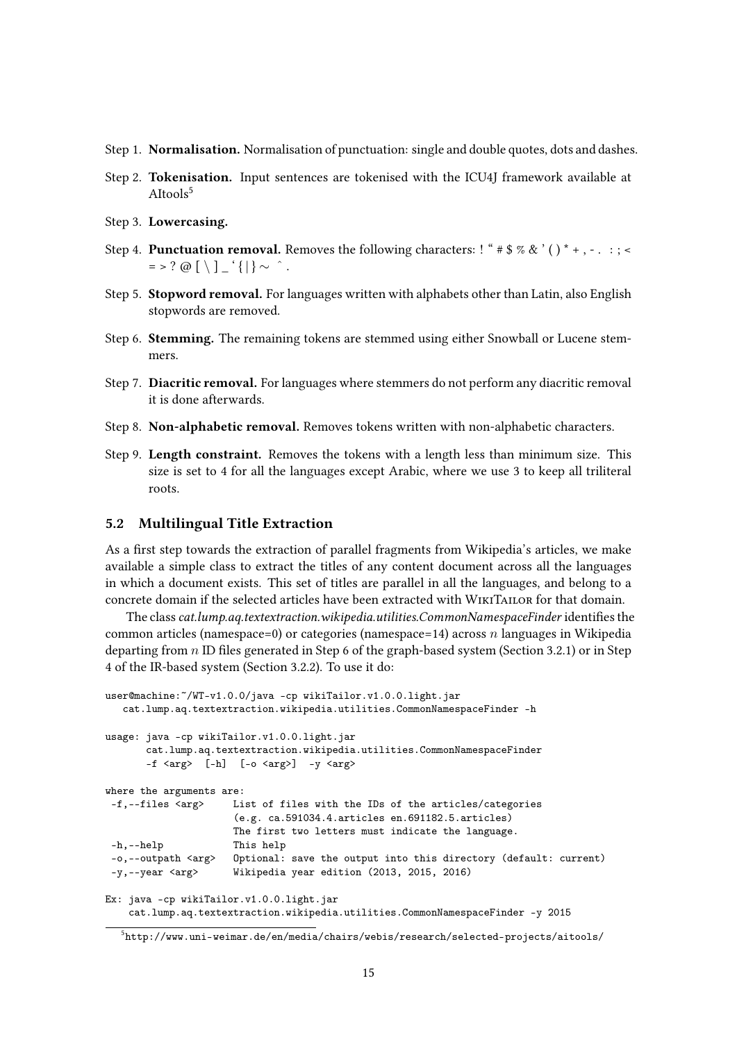- Step 1. Normalisation. Normalisation of punctuation: single and double quotes, dots and dashes.
- Step 2. Tokenisation. Input sentences are tokenised with the ICU4J framework available at AItools<sup>5</sup>
- Step 3. Lowercasing.
- Step 4. **Punctuation removal.** Removes the following characters:  $\mathbf{f} \cdot \mathbf{f} \cdot \mathbf{s} \cdot \mathbf{g} \cdot \mathbf{g} \cdot \mathbf{g} \cdot \mathbf{g} \cdot \mathbf{g} \cdot \mathbf{g} \cdot \mathbf{g} \cdot \mathbf{g} \cdot \mathbf{g} \cdot \mathbf{g} \cdot \mathbf{g} \cdot \mathbf{g} \cdot \mathbf{g} \cdot \mathbf{g} \cdot \mathbf{g} \cdot \mathbf{g} \cdot \mathbf{$  $=$  > ? @  $\lceil \setminus \rceil$   $\lceil \cdot \rceil \rceil$   $\sim$  ^.
- Step 5. Stopword removal. For languages written with alphabets other than Latin, also English stopwords are removed.
- Step 6. Stemming. The remaining tokens are stemmed using either Snowball or Lucene stemmers.
- Step 7. Diacritic removal. For languages where stemmers do not perform any diacritic removal it is done afterwards.
- Step 8. Non-alphabetic removal. Removes tokens written with non-alphabetic characters.
- Step 9. Length constraint. Removes the tokens with a length less than minimum size. This size is set to 4 for all the languages except Arabic, where we use 3 to keep all triliteral roots.

# 5.2 Multilingual Title Extraction

As a first step towards the extraction of parallel fragments from Wikipedia's articles, we make available a simple class to extract the titles of any content document across all the languages in which a document exists. This set of titles are parallel in all the languages, and belong to a concrete domain if the selected articles have been extracted with WikiTailor for that domain.

The class cat.lump.aq.textextraction.wikipedia.utilities.CommonNamespaceFinder identifies the common articles (namespace=0) or categories (namespace=14) across n languages in Wikipedia departing from  $n \text{ ID}$  files generated in Step 6 of the graph-based system (Section 3.2.1) or in Step 4 of the IR-based system (Section 3.2.2). To use it do:

```
user@machine:~/WT-v1.0.0/java -cp wikiTailor.v1.0.0.light.jar
  cat.lump.aq.textextraction.wikipedia.utilities.CommonNamespaceFinder -h
usage: java -cp wikiTailor.v1.0.0.light.jar
       cat.lump.aq.textextraction.wikipedia.utilities.CommonNamespaceFinder
       -f \langle arg \rangle [-h] [-o \langle arg \rangle] -y \langle arg \ranglewhere the arguments are:
-f,--files <arg> List of files with the IDs of the articles/categories
                      (e.g. ca.591034.4.articles en.691182.5.articles)
                      The first two letters must indicate the language.
-h,--help This help
-o,--outpath <arg> Optional: save the output into this directory (default: current)
-y,--year <arg> Wikipedia year edition (2013, 2015, 2016)
Ex: java -cp wikiTailor.v1.0.0.light.jar
   cat.lump.aq.textextraction.wikipedia.utilities.CommonNamespaceFinder -y 2015
```
 $^{5}$ http://www.uni-weimar.de/en/media/chairs/webis/research/selected-projects/aitools/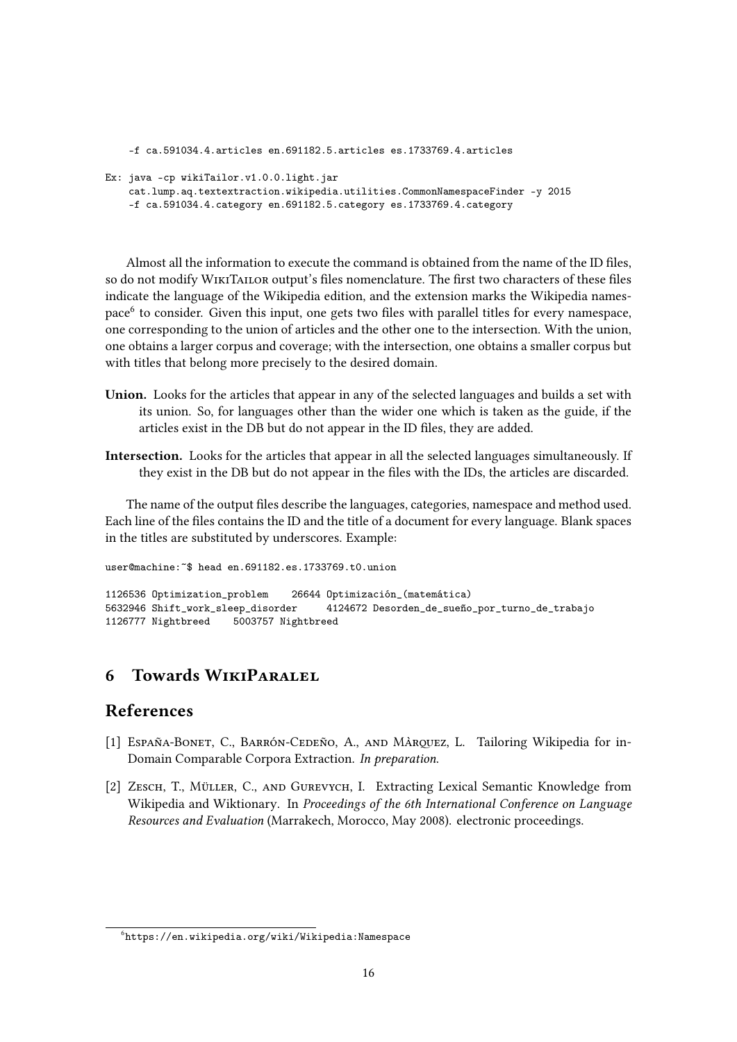```
-f ca.591034.4.articles en.691182.5.articles es.1733769.4.articles
Ex: java -cp wikiTailor.v1.0.0.light.jar
   cat.lump.aq.textextraction.wikipedia.utilities.CommonNamespaceFinder -y 2015
    -f ca.591034.4.category en.691182.5.category es.1733769.4.category
```
Almost all the information to execute the command is obtained from the name of the ID files, so do not modify WIKITAILOR output's files nomenclature. The first two characters of these files indicate the language of the Wikipedia edition, and the extension marks the Wikipedia namespace<sup>6</sup> to consider. Given this input, one gets two files with parallel titles for every namespace, one corresponding to the union of articles and the other one to the intersection. With the union, one obtains a larger corpus and coverage; with the intersection, one obtains a smaller corpus but with titles that belong more precisely to the desired domain.

- Union. Looks for the articles that appear in any of the selected languages and builds a set with its union. So, for languages other than the wider one which is taken as the guide, if the articles exist in the DB but do not appear in the ID files, they are added.
- Intersection. Looks for the articles that appear in all the selected languages simultaneously. If they exist in the DB but do not appear in the files with the IDs, the articles are discarded.

The name of the output files describe the languages, categories, namespace and method used. Each line of the files contains the ID and the title of a document for every language. Blank spaces in the titles are substituted by underscores. Example:

user@machine:~\$ head en.691182.es.1733769.t0.union

1126536 Optimization\_problem 26644 Optimización\_(matemática) 5632946 Shift\_work\_sleep\_disorder 4124672 Desorden\_de\_sueño\_por\_turno\_de\_trabajo 1126777 Nightbreed 5003757 Nightbreed

# **6 Towards WIKIPARALEL**

# References

- [1] ESPAÑA-BONET, C., BARRÓN-CEDEÑO, A., AND MÀRQUEZ, L. Tailoring Wikipedia for in-Domain Comparable Corpora Extraction. In preparation.
- [2] Zesch, T., Müller, C., and Gurevych, I. Extracting Lexical Semantic Knowledge from Wikipedia and Wiktionary. In Proceedings of the 6th International Conference on Language Resources and Evaluation (Marrakech, Morocco, May 2008). electronic proceedings.

 $^6$ https://en.wikipedia.org/wiki/Wikipedia:Namespace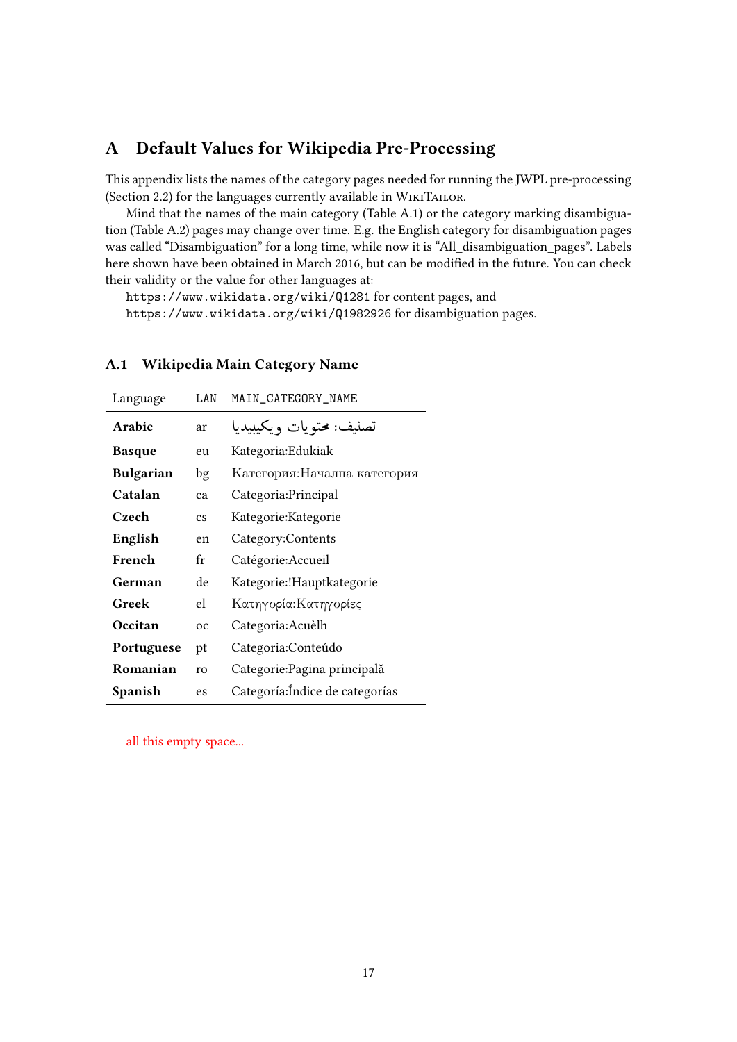# A Default Values for Wikipedia Pre-Processing

This appendix lists the names of the category pages needed for running the JWPL pre-processing (Section 2.2) for the languages currently available in WikiTailor.

Mind that the names of the main category (Table A.1) or the category marking disambiguation (Table A.2) pages may change over time. E.g. the English category for disambiguation pages was called "Disambiguation" for a long time, while now it is "All\_disambiguation\_pages". Labels here shown have been obtained in March 2016, but can be modified in the future. You can check their validity or the value for other languages at:

https://www.wikidata.org/wiki/Q1281 for content pages, and https://www.wikidata.org/wiki/Q1982926 for disambiguation pages.

| Language         | LAN                    | MAIN_CATEGORY_NAME              |
|------------------|------------------------|---------------------------------|
| Arabic           | ar                     | تصنيف: محتويات ويكيبيديا        |
| <b>Basque</b>    | eu                     | Kategoria: Edukiak              |
| <b>Bulgarian</b> | bg                     | Категория:Начална категория     |
| Catalan          | ca                     | Categoria: Principal            |
| Czech            | $\mathbf{c}\mathbf{s}$ | Kategorie: Kategorie            |
| English          | en                     | Category:Contents               |
| French           | fr                     | Catégorie: Accueil              |
| German           | de                     | Kategorie: !Hauptkategorie      |
| Greek            | el                     | Κατηγορία:Κατηγορίες            |
| Occitan          | $_{oc}$                | Categoria: Acuèlh               |
| Portuguese       | pt                     | Categoria:Conteúdo              |
| Romanian         | ro                     | Categorie: Pagina principală    |
| Spanish          | es                     | Categoría: Índice de categorías |

#### A.1 Wikipedia Main Category Name

all this empty space...